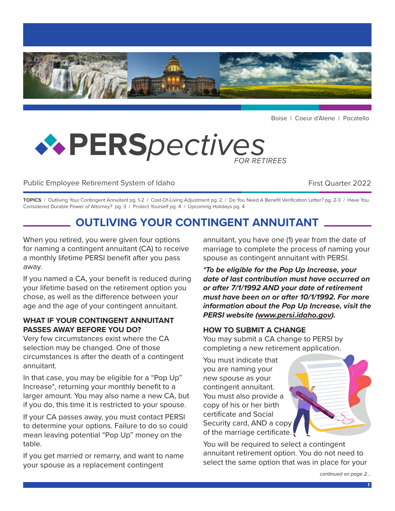

Boise | Coeur d'Alene | Pocatello

# **PERS***pectives FOR RETIREES*

## Public Employee Retirement System of Idaho **First Quarter 2022** First Quarter 2022

**TOPICS** / Outliving Your Contingent Annuitant pg. 1-2 / Cost-Of-Living Adjustment pg. 2 / Do You Need A Benefit Verification Letter? pg. 2-3 / Have You Considered Durable Power of Attorney? pg. 3 / Protect Yourself pg. 4 / Upcoming Holidays pg. 4

# **OUTLIVING YOUR CONTINGENT ANNUITANT**

When you retired, you were given four options for naming a contingent annuitant (CA) to receive a monthly lifetime PERSI benefit after you pass away.

If you named a CA, your benefit is reduced during your lifetime based on the retirement option you chose, as well as the difference between your age and the age of your contingent annuitant.

#### **WHAT IF YOUR CONTINGENT ANNUITANT PASSES AWAY BEFORE YOU DO?**

Very few circumstances exist where the CA selection may be changed. One of those circumstances is after the death of a contingent annuitant.

In that case, you may be eligible for a "Pop Up" Increase\*, returning your monthly benefit to a larger amount. You may also name a new CA, but if you do, this time it is restricted to your spouse.

If your CA passes away, you must contact PERSI to determine your options. Failure to do so could mean leaving potential "Pop Up" money on the table.

If you get married or remarry, and want to name your spouse as a replacement contingent

annuitant, you have one (1) year from the date of marriage to complete the process of naming your spouse as contingent annuitant with PERSI.

*\*To be eligible for the Pop Up Increase, your date of last contribution must have occurred on or after 7/1/1992 AND your date of retirement must have been on or after 10/1/1992. For more information about the Pop Up Increase, visit the PERSI website ([www.persi.idaho.gov\)](http://www.persi.idaho.gov).* 

#### **HOW TO SUBMIT A CHANGE**

You may submit a CA change to PERSI by completing a new retirement application.

You must indicate that you are naming your new spouse as your contingent annuitant. You must also provide a copy of his or her birth certificate and Social Security card, AND a copy of the marriage certificate.

You will be required to select a contingent annuitant retirement option. You do not need to select the same option that was in place for your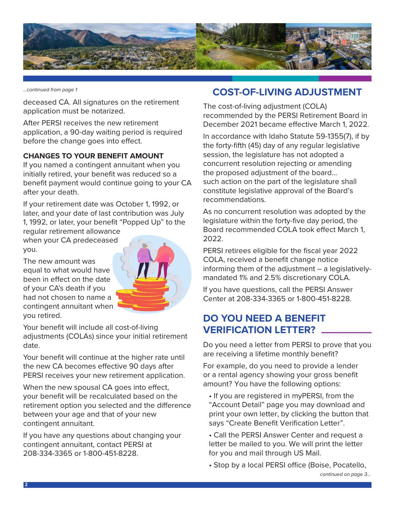

*...continued from page 1*

deceased CA. All signatures on the retirement application must be notarized.

After PERSI receives the new retirement application, a 90-day waiting period is required before the change goes into effect.

#### **CHANGES TO YOUR BENEFIT AMOUNT**

If you named a contingent annuitant when you initially retired, your benefit was reduced so a benefit payment would continue going to your CA after your death.

If your retirement date was October 1, 1992, or later, and your date of last contribution was July 1, 1992, or later, your benefit "Popped Up" to the

regular retirement allowance when your CA predeceased you.

The new amount was equal to what would have been in effect on the date of your CA's death if you had not chosen to name a contingent annuitant when you retired.



Your benefit will include all cost-of-living adjustments (COLAs) since your initial retirement date.

Your benefit will continue at the higher rate until the new CA becomes effective 90 days after PERSI receives your new retirement application.

When the new spousal CA goes into effect, your benefit will be recalculated based on the retirement option you selected and the difference between your age and that of your new contingent annuitant.

If you have any questions about changing your contingent annuitant, contact PERSI at 208-334-3365 or 1-800-451-8228.

# **COST-OF-LIVING ADJUSTMENT**

The cost-of-living adjustment (COLA) recommended by the PERSI Retirement Board in December 2021 became effective March 1, 2022.

In accordance with Idaho Statute 59-1355(7), if by the forty-fifth (45) day of any regular legislative session, the legislature has not adopted a concurrent resolution rejecting or amending the proposed adjustment of the board… such action on the part of the legislature shall constitute legislative approval of the Board's recommendations.

As no concurrent resolution was adopted by the legislature within the forty-five day period, the Board recommended COLA took effect March 1, 2022.

PERSI retirees eligible for the fiscal year 2022 COLA, received a benefit change notice informing them of the adjustment – a legislativelymandated 1% and 2.5% discretionary COLA.

If you have questions, call the PERSI Answer Center at 208-334-3365 or 1-800-451-8228.

# **DO YOU NEED A BENEFIT VERIFICATION LETTER?**

Do you need a letter from PERSI to prove that you are receiving a lifetime monthly benefit?

For example, do you need to provide a lender or a rental agency showing your gross benefit amount? You have the following options:

- If you are registered in myPERSI, from the "Account Detail" page you may download and print your own letter, by clicking the button that says "Create Benefit Verification Letter".
- Call the PERSI Answer Center and request a letter be mailed to you. We will print the letter for you and mail through US Mail.

• Stop by a local PERSI office (Boise, Pocatello,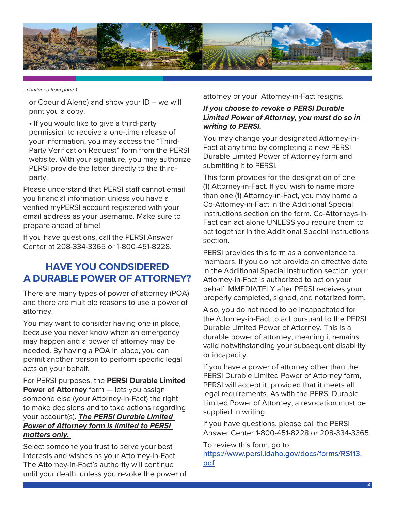

*...continued from page 1*

or Coeur d'Alene) and show your ID – we will print you a copy.

• If you would like to give a third-party permission to receive a one-time release of your information, you may access the "Third-Party Verification Request" form from the PERSI website. With your signature, you may authorize PERSI provide the letter directly to the thirdparty.

Please understand that PERSI staff cannot email you financial information unless you have a verified myPERSI account registered with your email address as your username. Make sure to prepare ahead of time!

If you have questions, call the PERSI Answer Center at 208-334-3365 or 1-800-451-8228.

# **HAVE YOU CONDSIDERED A DURABLE POWER OF ATTORNEY?**

There are many types of power of attorney (POA) and there are multiple reasons to use a power of attorney.

You may want to consider having one in place, because you never know when an emergency may happen and a power of attorney may be needed. By having a POA in place, you can permit another person to perform specific legal acts on your behalf.

For PERSI purposes, the **PERSI Durable Limited Power of Attorney** form  $-$  lets you assign someone else (your Attorney-in-Fact) the right to make decisions and to take actions regarding your account(s). *The PERSI Durable Limited Power of Attorney form is limited to PERSI matters only.* 

Select someone you trust to serve your best interests and wishes as your Attorney-in-Fact. The Attorney-in-Fact's authority will continue until your death, unless you revoke the power of attorney or your Attorney-in-Fact resigns.

#### *If you choose to revoke a PERSI Durable Limited Power of Attorney, you must do so in writing to PERSI.*

You may change your designated Attorney-in-Fact at any time by completing a new PERSI Durable Limited Power of Attorney form and submitting it to PERSI.

This form provides for the designation of one (1) Attorney-in-Fact. If you wish to name more than one (1) Attorney-in-Fact, you may name a Co-Attorney-in-Fact in the Additional Special Instructions section on the form. Co-Attorneys-in-Fact can act alone UNLESS you require them to act together in the Additional Special Instructions section.

PERSI provides this form as a convenience to members. If you do not provide an effective date in the Additional Special Instruction section, your Attorney-in-Fact is authorized to act on your behalf IMMEDIATELY after PERSI receives your properly completed, signed, and notarized form.

Also, you do not need to be incapacitated for the Attorney-in-Fact to act pursuant to the PERSI Durable Limited Power of Attorney. This is a durable power of attorney, meaning it remains valid notwithstanding your subsequent disability or incapacity.

If you have a power of attorney other than the PERSI Durable Limited Power of Attorney form, PERSI will accept it, provided that it meets all legal requirements. As with the PERSI Durable Limited Power of Attorney, a revocation must be supplied in writing.

If you have questions, please call the PERSI Answer Center 1-800-451-8228 or 208-334-3365.

To review this form, go to: [https://www.persi.idaho.gov/docs/forms/RS113.](https://www.persi.idaho.gov/docs/forms/RS113.pdf) [pdf](https://www.persi.idaho.gov/docs/forms/RS113.pdf)